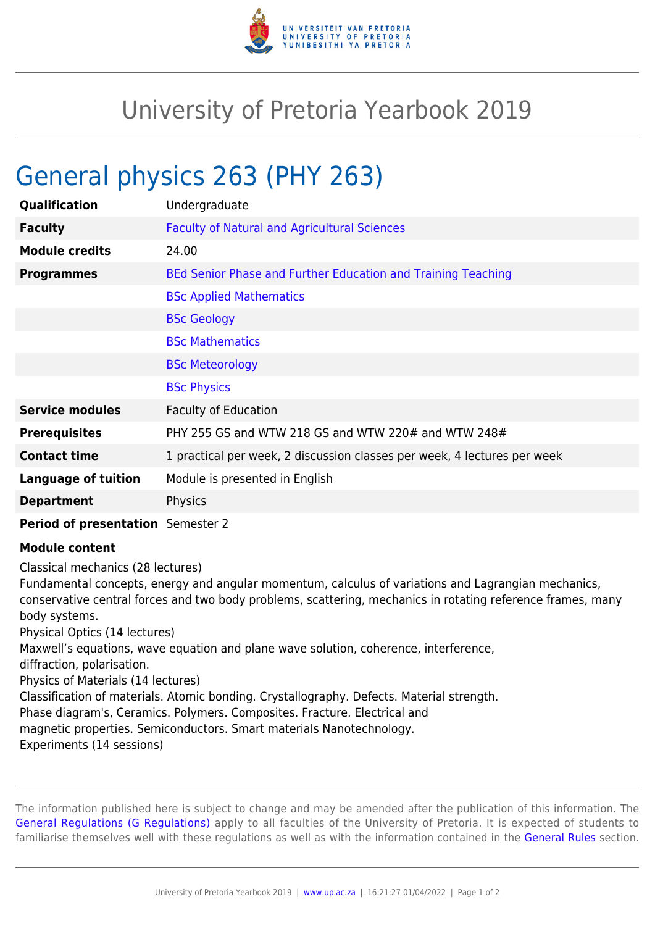

## University of Pretoria Yearbook 2019

## General physics 263 (PHY 263)

| <b>Qualification</b>       | Undergraduate                                                            |
|----------------------------|--------------------------------------------------------------------------|
| <b>Faculty</b>             | <b>Faculty of Natural and Agricultural Sciences</b>                      |
| <b>Module credits</b>      | 24.00                                                                    |
| <b>Programmes</b>          | BEd Senior Phase and Further Education and Training Teaching             |
|                            | <b>BSc Applied Mathematics</b>                                           |
|                            | <b>BSc Geology</b>                                                       |
|                            | <b>BSc Mathematics</b>                                                   |
|                            | <b>BSc Meteorology</b>                                                   |
|                            | <b>BSc Physics</b>                                                       |
| <b>Service modules</b>     | <b>Faculty of Education</b>                                              |
| <b>Prerequisites</b>       | PHY 255 GS and WTW 218 GS and WTW 220# and WTW 248#                      |
| <b>Contact time</b>        | 1 practical per week, 2 discussion classes per week, 4 lectures per week |
| <b>Language of tuition</b> | Module is presented in English                                           |
| <b>Department</b>          | Physics                                                                  |
|                            |                                                                          |

**Period of presentation** Semester 2

## **Module content**

Classical mechanics (28 lectures)

Fundamental concepts, energy and angular momentum, calculus of variations and Lagrangian mechanics, conservative central forces and two body problems, scattering, mechanics in rotating reference frames, many body systems.

Physical Optics (14 lectures)

Maxwell's equations, wave equation and plane wave solution, coherence, interference,

diffraction, polarisation.

Physics of Materials (14 lectures)

Classification of materials. Atomic bonding. Crystallography. Defects. Material strength.

Phase diagram's, Ceramics. Polymers. Composites. Fracture. Electrical and

magnetic properties. Semiconductors. Smart materials Nanotechnology.

Experiments (14 sessions)

The information published here is subject to change and may be amended after the publication of this information. The [General Regulations \(G Regulations\)](https://www.up.ac.za/yearbooks/2019/rules/view/REG) apply to all faculties of the University of Pretoria. It is expected of students to familiarise themselves well with these regulations as well as with the information contained in the [General Rules](https://www.up.ac.za/yearbooks/2019/rules/view/RUL) section.